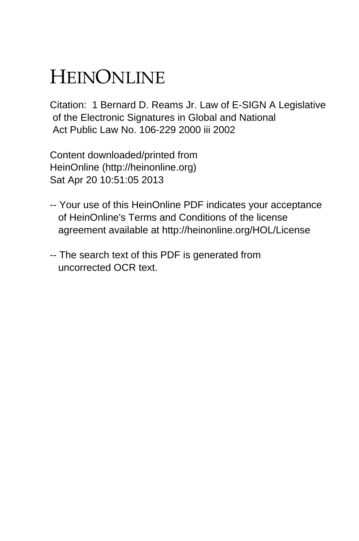## HEINONLINE

Citation: 1 Bernard D. Reams Jr. Law of E-SIGN A Legislative of the Electronic Signatures in Global and National Act Public Law No. 106-229 2000 iii 2002

Content downloaded/printed from HeinOnline (http://heinonline.org) Sat Apr 20 10:51:05 2013

- -- Your use of this HeinOnline PDF indicates your acceptance of HeinOnline's Terms and Conditions of the license agreement available at http://heinonline.org/HOL/License
- -- The search text of this PDF is generated from uncorrected OCR text.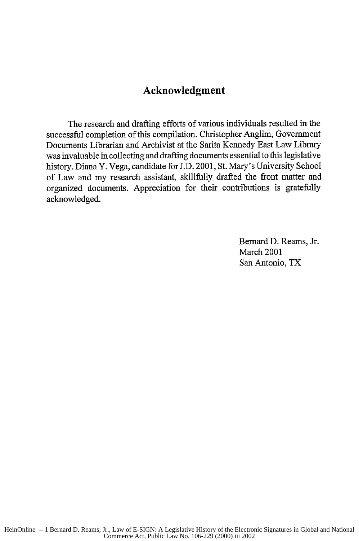## **Acknowledgment**

The research and drafting efforts of various individuals resulted in the successful completion of this compilation. Christopher Anglim, Government Documents Librarian and Archivist at the Sarita Kennedy East Law Library was invaluable in collecting and drafting documents essential to this legislative history. Diana Y. Vega, candidate for J.D. 2001, St. Mary's University School of Law and my research assistant, skillfully drafted the front matter and organized documents. Appreciation for their contributions is gratefully acknowledged.

> Bernard D. Reams, Jr. March 2001 San Antonio, TX